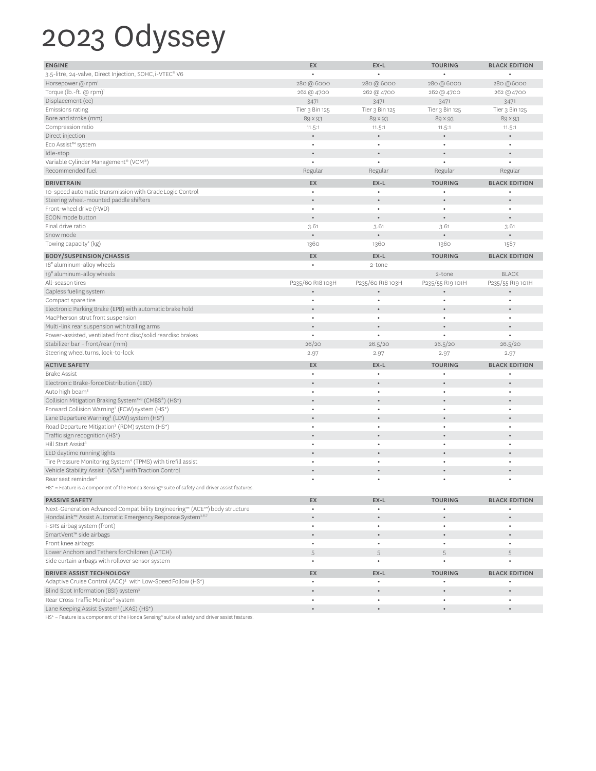## 2023 Odyssey

| <b>ENGINE</b>                                                                                  | EX               | EX-L             | <b>TOURING</b>   | <b>BLACK EDITION</b> |
|------------------------------------------------------------------------------------------------|------------------|------------------|------------------|----------------------|
| 3.5-litre, 24-valve, Direct Injection, SOHC, i-VTEC® V6                                        |                  |                  |                  |                      |
| Horsepower @ rpm <sup>1</sup>                                                                  | 280 @ 6000       | 280 @ 6000       | 280 @ 6000       | 280 @6000            |
| Torque (lb.-ft. @ rpm)'                                                                        | 262 @ 4700       | 262 @ 4700       | 262 @ 4700       | 262 @ 4700           |
| Displacement (cc)                                                                              | 3471             | 3471             | 3471             | 3471                 |
| Emissions rating                                                                               | Tier 3 Bin 125   | Tier 3 Bin 125   | Tier 3 Bin 125   | Tier 3 Bin 125       |
| Bore and stroke (mm)                                                                           | 89 × 93          | 89 × 93          | 89 × 93          | 89 × 93              |
| Compression ratio                                                                              | 11.5:1           | 11.5:1           | 11.5:1           | 11.5:1               |
| Direct injection                                                                               |                  | $\bullet$        |                  |                      |
| Eco Assist™ system                                                                             | $\bullet$        | $\bullet$        | ٠                | $\bullet$            |
| Idle-stop                                                                                      |                  |                  |                  |                      |
| Variable Cylinder Management® (VCM®)                                                           |                  | $\bullet$        |                  |                      |
| Recommended fuel                                                                               | Regular          | Regular          | Regular          | Regular              |
|                                                                                                |                  |                  |                  |                      |
| <b>DRIVETRAIN</b>                                                                              | EX               | EX-L             | <b>TOURING</b>   | <b>BLACK EDITION</b> |
| 10-speed automatic transmission with Grade Logic Control                                       | $\bullet$        | $\bullet$        |                  |                      |
| Steering wheel-mounted paddle shifters                                                         |                  | $\bullet$        |                  |                      |
| Front-wheel drive (FWD)                                                                        | $\bullet$        | $\bullet$        | $\bullet$        |                      |
| ECON mode button                                                                               |                  | $\bullet$        | $\bullet$        |                      |
| Final drive ratio                                                                              | 3.61             | 3.61             | 3.61             | 3.61                 |
| Snow mode                                                                                      |                  | $\bullet$        |                  |                      |
| Towing capacity <sup>2</sup> (kg)                                                              | 1360             | 1360             | 1360             | 1587                 |
| <b>BODY/SUSPENSION/CHASSIS</b>                                                                 | EX               | EX-L             | <b>TOURING</b>   | <b>BLACK EDITION</b> |
| 18" aluminum-alloy wheels                                                                      |                  | 2-tone           |                  |                      |
| 19" aluminum-alloy wheels                                                                      |                  |                  | 2-tone           | <b>BLACK</b>         |
| All-season tires                                                                               | P235/60 R18 103H | P235/60 R18 103H | P235/55 R19 101H | P235/55 R19 101H     |
| Capless fueling system                                                                         |                  | $\bullet$        | $\bullet$        |                      |
| Compact spare tire                                                                             | $\bullet$        | $\bullet$        | $\bullet$        |                      |
| Electronic Parking Brake (EPB) with automatic brake hold                                       |                  |                  |                  |                      |
| MacPherson strut front suspension                                                              |                  | $\bullet$        | ٠                |                      |
| Multi-link rear suspension with trailing arms                                                  |                  |                  |                  |                      |
| Power-assisted, ventilated front disc/solid reardisc brakes                                    | $\bullet$        | $\bullet$        | $\bullet$        |                      |
| Stabilizer bar - front/rear (mm)                                                               | 26/20            | 26.5/20          | 26.5/20          | 26.5/20              |
| Steering wheel turns, lock-to-lock                                                             | 2.97             | 2.97             | 2.97             | 2.97                 |
| <b>ACTIVE SAFETY</b>                                                                           | EX               | EX-L             | <b>TOURING</b>   | <b>BLACK EDITION</b> |
| <b>Brake Assist</b>                                                                            | $\bullet$        | ٠                |                  |                      |
| Electronic Brake-force Distribution (EBD)                                                      |                  |                  |                  |                      |
| Auto high beam <sup>3</sup>                                                                    | $\bullet$        | $\bullet$        | ٠                | $\bullet$            |
| Collision Mitigation Braking System™ <sup>3</sup> (CMBS®) (HS*)                                |                  |                  |                  |                      |
| Forward Collision Warning <sup>3</sup> (FCW) system (HS*)                                      | $\bullet$        | $\bullet$        | ٠                |                      |
| Lane Departure Warning <sup>3</sup> (LDW) system (HS*)                                         |                  |                  |                  |                      |
| Road Departure Mitigation <sup>3</sup> (RDM) system (HS*)                                      | $\bullet$        | $\bullet$        | ٠                | $\bullet$            |
| Traffic sign recognition (HS*)                                                                 |                  |                  |                  |                      |
| Hill Start Assist <sup>3</sup>                                                                 |                  | $\bullet$        | ٠                | $\bullet$            |
| LED daytime running lights                                                                     |                  |                  |                  |                      |
| Tire Pressure Monitoring System <sup>4</sup> (TPMS) with tirefill assist                       | $\bullet$        | $\bullet$        | ٠                |                      |
| Vehicle Stability Assist <sup>3</sup> (VSA®) with Traction Control                             |                  |                  |                  |                      |
| Rear seat reminder <sup>5</sup>                                                                |                  |                  |                  |                      |
| HS* = Feature is a component of the Honda Sensing® suite of safety and driver assist features. |                  |                  |                  |                      |
|                                                                                                |                  |                  |                  |                      |
| <b>PASSIVE SAFETY</b>                                                                          | EX               | EX-L             | <b>TOURING</b>   | <b>BLACK EDITION</b> |
| Next-Generation Advanced Compatibility Engineering™ (ACE™) body structure                      | $\bullet$        | $\bullet$        | $\bullet$        | $\bullet$            |
| HondaLink™ Assist Automatic Emergency Response System <sup>3.6.7</sup>                         | $\bullet$        | $\bullet$        |                  |                      |
| i-SRS airbag system (front)                                                                    | $\bullet$        | $\bullet$        | ٠                | $\bullet$            |
| SmartVent™ side airbags                                                                        | $\bullet$        | $\bullet$        | $\bullet$        |                      |
| Front knee airbags                                                                             | $\bullet$        | $\bullet$        | $\bullet$        | $\bullet$            |
| Lower Anchors and Tethers for Children (LATCH)                                                 | 5                | 5                | 5                | 5                    |
| Side curtain airbags with rollover sensor system                                               | $\bullet$        | $\bullet$        | ۰                |                      |
| DRIVER ASSIST TECHNOLOGY                                                                       | EX               | EX-L             | <b>TOURING</b>   | <b>BLACK EDITION</b> |
| Adaptive Cruise Control (ACC) <sup>3</sup> with Low-Speed Follow (HS*)                         | $\bullet$        | $\bullet$        |                  |                      |
| Blind Spot Information (BSI) system <sup>3</sup>                                               | $\bullet$        | $\bullet$        | $\bullet$        |                      |
| Rear Cross Traffic Monitor <sup>3</sup> system                                                 | $\bullet$        | $\bullet$        | ٠                | $\bullet$            |
| Lane Keeping Assist System <sup>3</sup> (LKAS) (HS*)                                           |                  | $\bullet$        | $\bullet$        |                      |
|                                                                                                |                  |                  |                  |                      |

HS\* = Feature is a component of the Honda Sensing® suite of safety and driver assist features.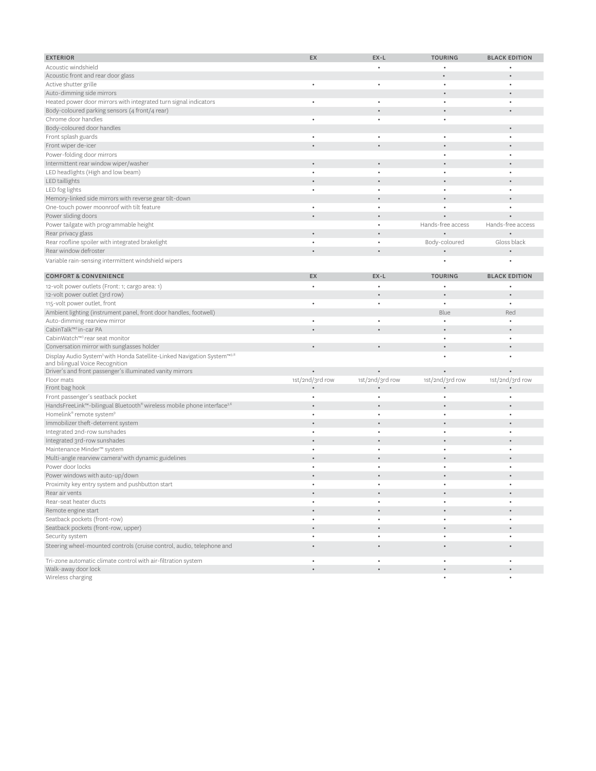| <b>EXTERIOR</b>                                                                                 | EX              | EX-L            | <b>TOURING</b>    | <b>BLACK EDITION</b> |
|-------------------------------------------------------------------------------------------------|-----------------|-----------------|-------------------|----------------------|
| Acoustic windshield                                                                             |                 |                 | ٠                 | $\bullet$            |
| Acoustic front and rear door glass                                                              |                 |                 |                   |                      |
| Active shutter grille                                                                           |                 |                 |                   |                      |
| Auto-dimming side mirrors                                                                       |                 |                 |                   |                      |
| Heated power door mirrors with integrated turn signal indicators                                | $\bullet$       |                 | $\bullet$         |                      |
| Body-coloured parking sensors (4 front/4 rear)                                                  |                 |                 |                   |                      |
| Chrome door handles                                                                             |                 |                 | $\bullet$         |                      |
| Body-coloured door handles                                                                      |                 |                 |                   |                      |
| Front splash guards                                                                             |                 |                 | $\bullet$         |                      |
| Front wiper de-icer                                                                             |                 |                 |                   |                      |
| Power-folding door mirrors                                                                      |                 |                 |                   |                      |
| Intermittent rear window wiper/washer                                                           |                 |                 |                   |                      |
| LED headlights (High and low beam)                                                              |                 |                 | $\bullet$         |                      |
| LED taillights                                                                                  |                 |                 |                   |                      |
| LED fog lights                                                                                  |                 |                 |                   |                      |
| Memory-linked side mirrors with reverse gear tilt-down                                          |                 |                 |                   |                      |
| One-touch power moonroof with tilt feature                                                      | $\bullet$       |                 |                   |                      |
| Power sliding doors                                                                             |                 |                 |                   |                      |
| Power tailgate with programmable height                                                         |                 |                 | Hands-free access | Hands-free access    |
| Rear privacy glass                                                                              |                 |                 |                   |                      |
| Rear roofline spoiler with integrated brakelight                                                |                 |                 | Body-coloured     | Gloss black          |
| Rear window defroster                                                                           | $\bullet$       |                 |                   |                      |
| Variable rain-sensing intermittent windshield wipers                                            |                 |                 |                   |                      |
|                                                                                                 |                 |                 |                   |                      |
| <b>COMFORT &amp; CONVENIENCE</b>                                                                | EX              | EX-L            | <b>TOURING</b>    | <b>BLACK EDITION</b> |
| 12-volt power outlets (Front: 1; cargo area: 1)                                                 | ٠               |                 |                   |                      |
| 12-volt power outlet (3rd row)                                                                  |                 |                 |                   |                      |
| 115-volt power outlet, front                                                                    | $\bullet$       | $\bullet$       | $\bullet$         | $\bullet$            |
| Ambient lighting (instrument panel, front door handles, footwell)                               |                 |                 | Blue              | Red                  |
| Auto-dimming rearview mirror                                                                    | $\bullet$       | $\bullet$       | $\bullet$         | $\bullet$            |
| CabinTalk™ <sup>3</sup> in-car PA                                                               |                 |                 |                   |                      |
| CabinWatch™ <sup>3</sup> rear seat monitor                                                      |                 |                 | $\bullet$         |                      |
| Conversation mirror with sunglasses holder                                                      | $\bullet$       | $\bullet$       |                   |                      |
| Display Audio System <sup>3</sup> with Honda Satellite-Linked Navigation System <sup>™3.8</sup> |                 |                 | $\bullet$         |                      |
| and bilingual Voice Recognition<br>Driver's and front passenger's illuminated vanity mirrors    |                 |                 |                   |                      |
| Floor mats                                                                                      | 1st/2nd/3rd row | 1st/2nd/3rd row | 1st/2nd/3rd row   | 1st/2nd/3rd row      |
| Front bag hook                                                                                  |                 |                 |                   |                      |
| Front passenger's seatback pocket                                                               | $\bullet$       | $\bullet$       | $\bullet$         | $\bullet$            |
| HandsFreeLink™-bilingual Bluetooth® wireless mobile phone interface <sup>3,6</sup>              |                 |                 |                   |                      |
| Homelink® remote system <sup>9</sup>                                                            | $\bullet$       | $\bullet$       | $\bullet$         | $\bullet$            |
| Immobilizer theft-deterrent system                                                              |                 |                 |                   |                      |
| Integrated 2nd-row sunshades                                                                    | $\bullet$       | $\bullet$       | $\bullet$         | $\bullet$            |
| Integrated 3rd-row sunshades                                                                    |                 |                 |                   |                      |
| Maintenance Minder™ system                                                                      | $\bullet$       | $\bullet$       | $\bullet$         |                      |
| Multi-angle rearview camera <sup>3</sup> with dynamic guidelines                                |                 |                 |                   |                      |
| Power door locks                                                                                | ٠               | ٠               | $\bullet$         |                      |
| Power windows with auto-up/down                                                                 |                 |                 |                   |                      |
| Proximity key entry system and pushbutton start                                                 | $\bullet$       | ٠               | $\bullet$         | $\ddot{\phantom{a}}$ |
| Rear air vents                                                                                  |                 |                 | $\bullet$         | $\bullet$            |
| Rear-seat heater ducts                                                                          | $\bullet$       | $\bullet$       | $\bullet$         | $\bullet$            |
| Remote engine start                                                                             | $\bullet$       |                 | $\bullet$         | $\bullet$            |
| Seatback pockets (front-row)                                                                    | $\bullet$       | $\bullet$       | $\bullet$         | $\bullet$            |
| Seatback pockets (front-row, upper)                                                             |                 |                 | $\bullet$         |                      |
| Security system                                                                                 | $\bullet$       | $\bullet$       | $\bullet$         | $\bullet$            |
| Steering wheel-mounted controls (cruise control, audio, telephone and                           | $\bullet$       | $\bullet$       | $\bullet$         | $\bullet$            |
| Tri-zone automatic climate control with air-filtration system                                   | $\bullet$       | $\bullet$       | $\bullet$         | $\bullet$            |
| Walk-away door lock                                                                             | $\bullet$       | $\bullet$       | $\bullet$         |                      |
| Wireless charging                                                                               |                 |                 | $\bullet$         | $\bullet$            |